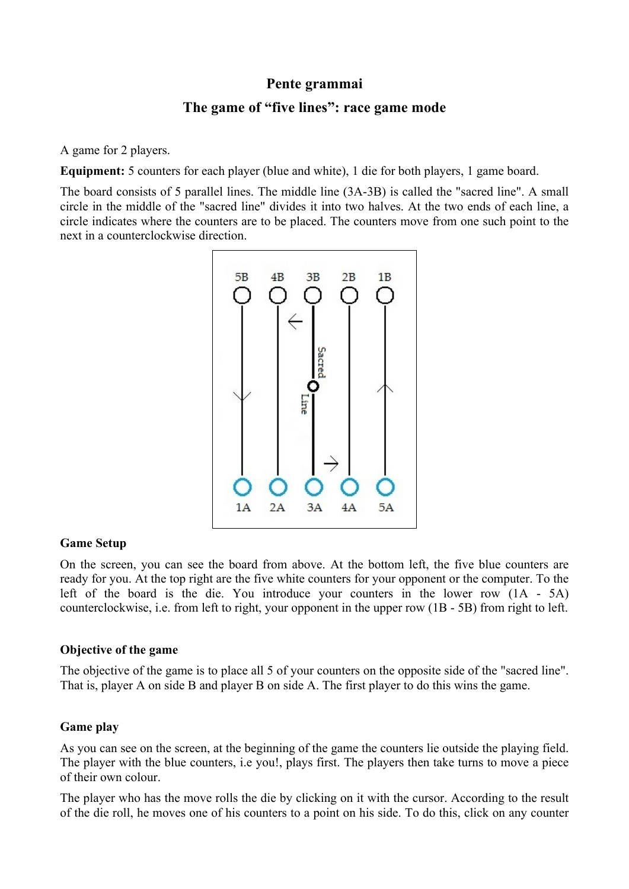# **Pente grammai**

# **The game of "five lines": race game mode**

A game for 2 players.

**Equipment:** 5 counters for each player (blue and white), 1 die for both players, 1 game board.

The board consists of 5 parallel lines. The middle line (3A-3B) is called the "sacred line". A small circle in the middle of the "sacred line" divides it into two halves. At the two ends of each line, a circle indicates where the counters are to be placed. The counters move from one such point to the next in a counterclockwise direction.



#### **Game Setup**

On the screen, you can see the board from above. At the bottom left, the five blue counters are ready for you. At the top right are the five white counters for your opponent or the computer. To the left of the board is the die. You introduce your counters in the lower row (1A - 5A) counterclockwise, i.e. from left to right, your opponent in the upper row (1B - 5B) from right to left.

## **Objective of the game**

The objective of the game is to place all 5 of your counters on the opposite side of the "sacred line". That is, player A on side B and player B on side A. The first player to do this wins the game.

## **Game play**

As you can see on the screen, at the beginning of the game the counters lie outside the playing field. The player with the blue counters, i.e you!, plays first. The players then take turns to move a piece of their own colour.

The player who has the move rolls the die by clicking on it with the cursor. According to the result of the die roll, he moves one of his counters to a point on his side. To do this, click on any counter